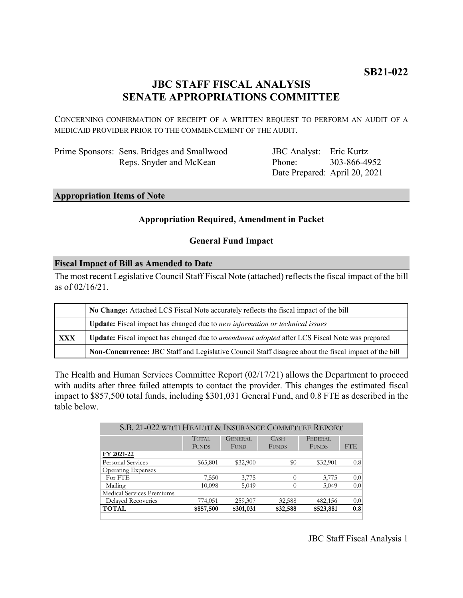# **JBC STAFF FISCAL ANALYSIS SENATE APPROPRIATIONS COMMITTEE**

CONCERNING CONFIRMATION OF RECEIPT OF A WRITTEN REQUEST TO PERFORM AN AUDIT OF A MEDICAID PROVIDER PRIOR TO THE COMMENCEMENT OF THE AUDIT.

| Prime Sponsors: Sens. Bridges and Smallwood |
|---------------------------------------------|
| Reps. Snyder and McKean                     |

JBC Analyst: Eric Kurtz Phone: Date Prepared: April 20, 2021 303-866-4952

## **Appropriation Items of Note**

## **Appropriation Required, Amendment in Packet**

## **General Fund Impact**

## **Fiscal Impact of Bill as Amended to Date**

The most recent Legislative Council Staff Fiscal Note (attached) reflects the fiscal impact of the bill as of 02/16/21.

|     | No Change: Attached LCS Fiscal Note accurately reflects the fiscal impact of the bill                 |  |  |
|-----|-------------------------------------------------------------------------------------------------------|--|--|
|     | <b>Update:</b> Fiscal impact has changed due to new information or technical issues                   |  |  |
| XXX | Update: Fiscal impact has changed due to <i>amendment adopted</i> after LCS Fiscal Note was prepared  |  |  |
|     | Non-Concurrence: JBC Staff and Legislative Council Staff disagree about the fiscal impact of the bill |  |  |

The Health and Human Services Committee Report (02/17/21) allows the Department to proceed with audits after three failed attempts to contact the provider. This changes the estimated fiscal impact to \$857,500 total funds, including \$301,031 General Fund, and 0.8 FTE as described in the table below.

| S.B. 21-022 WITH HEALTH & INSURANCE COMMITTEE REPORT |                |              |              |     |  |  |
|------------------------------------------------------|----------------|--------------|--------------|-----|--|--|
| <b>TOTAL</b>                                         | <b>GENERAL</b> | <b>CASH</b>  | FEDERAL      |     |  |  |
| <b>FUNDS</b>                                         | <b>FUND</b>    | <b>FUNDS</b> | <b>FUNDS</b> | FTE |  |  |
|                                                      |                |              |              |     |  |  |
| \$65,801                                             | \$32,900       | \$0          | \$32,901     | 0.8 |  |  |
|                                                      |                |              |              |     |  |  |
| 7,550                                                | 3,775          | $\Omega$     | 3,775        | 0.0 |  |  |
| 10,098                                               | 5,049          | $\Omega$     | 5,049        | 0.0 |  |  |
|                                                      |                |              |              |     |  |  |
| 774,051                                              | 259,307        | 32,588       | 482,156      | 0.0 |  |  |
| \$857,500                                            | \$301,031      | \$32,588     | \$523,881    | 0.8 |  |  |
|                                                      |                |              |              |     |  |  |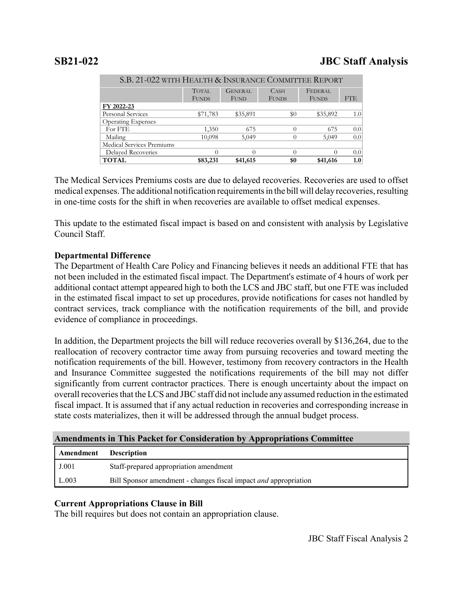|                           | <b>TOTAL</b> | <b>GENERAL</b> | CASH         | FEDERAL      |                  |
|---------------------------|--------------|----------------|--------------|--------------|------------------|
|                           | <b>FUNDS</b> | <b>FUND</b>    | <b>FUNDS</b> | <b>FUNDS</b> | FTE              |
| FY 2022-23                |              |                |              |              |                  |
| <b>Personal Services</b>  | \$71,783     | \$35,891       | $\$0$        | \$35,892     | 1.0              |
| <b>Operating Expenses</b> |              |                |              |              |                  |
| For FTE                   | 1,350        | 675            | 0            | 675          | 0.0              |
| Mailing                   | 10,098       | 5,049          |              | 5,049        | 0.0 <sub>1</sub> |
| Medical Services Premiums |              |                |              |              |                  |
| <b>Delayed Recoveries</b> |              |                |              |              | 0.0 <sub>l</sub> |
| <b>TOTAL</b>              | \$83,231     | \$41,615       | \$0          | \$41,616     | 1.0 <sub>1</sub> |

S.B. 21-022 WITH HEALTH & INSURANCE COMMITTEE REPORT

The Medical Services Premiums costs are due to delayed recoveries. Recoveries are used to offset medical expenses. The additional notification requirements in the bill will delay recoveries, resulting in one-time costs for the shift in when recoveries are available to offset medical expenses.

This update to the estimated fiscal impact is based on and consistent with analysis by Legislative Council Staff.

# **Departmental Difference**

The Department of Health Care Policy and Financing believes it needs an additional FTE that has not been included in the estimated fiscal impact. The Department's estimate of 4 hours of work per additional contact attempt appeared high to both the LCS and JBC staff, but one FTE was included in the estimated fiscal impact to set up procedures, provide notifications for cases not handled by contract services, track compliance with the notification requirements of the bill, and provide evidence of compliance in proceedings.

In addition, the Department projects the bill will reduce recoveries overall by \$136,264, due to the reallocation of recovery contractor time away from pursuing recoveries and toward meeting the notification requirements of the bill. However, testimony from recovery contractors in the Health and Insurance Committee suggested the notifications requirements of the bill may not differ significantly from current contractor practices. There is enough uncertainty about the impact on overall recoveries that the LCS and JBC staff did not include any assumed reduction in the estimated fiscal impact. It is assumed that if any actual reduction in recoveries and corresponding increase in state costs materializes, then it will be addressed through the annual budget process.

## **Amendments in This Packet for Consideration by Appropriations Committee**

| Amendment | <b>Description</b>                                                      |
|-----------|-------------------------------------------------------------------------|
| J.001     | Staff-prepared appropriation amendment                                  |
| L.003     | Bill Sponsor amendment - changes fiscal impact <i>and</i> appropriation |

# **Current Appropriations Clause in Bill**

The bill requires but does not contain an appropriation clause.